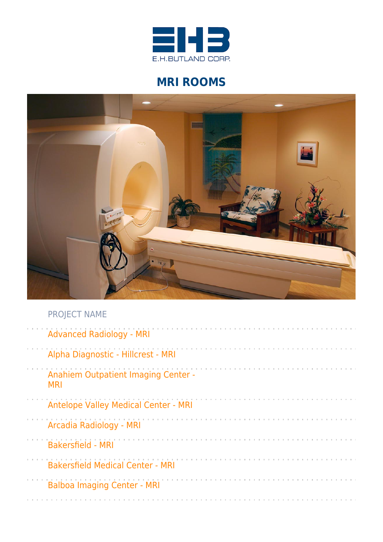

# **MRI ROOMS**



| <b>Advanced Radiology - MRI</b>                   |
|---------------------------------------------------|
| Alpha Diagnostic - Hillcrest - MRI                |
| Anahiem Outpatient Imaging Center -<br><b>MRI</b> |
| <b>Antelope Valley Medical Center - MRI</b>       |
| Arcadia Radiology - MRI                           |
| <b>Bakersfield - MRI</b>                          |
| <b>Bakersfield Medical Center - MRI</b>           |
| <b>Balboa Imaging Center - MRI</b>                |
|                                                   |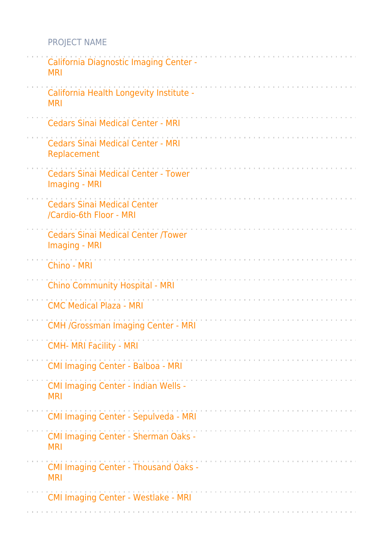| California Diagnostic Imaging Center -<br><b>MRI</b>          |
|---------------------------------------------------------------|
| California Health Longevity Institute -<br><b>MRI</b>         |
| <b>Cedars Sinai Medical Center - MRI</b>                      |
| <b>Cedars Sinai Medical Center - MRI</b><br>Replacement       |
| <b>Cedars Sinai Medical Center - Tower</b><br>Imaging - MRI   |
| <b>Cedars Sinai Medical Center</b><br>/Cardio-6th Floor - MRI |
| <b>Cedars Sinai Medical Center /Tower</b><br>Imaging - MRI    |
| Chino - MRI                                                   |
| <b>Chino Community Hospital - MRI</b>                         |
| <b>CMC Medical Plaza - MRI</b>                                |
| <b>CMH /Grossman Imaging Center - MRI</b>                     |
| <b>CMH- MRI Facility - MRI</b>                                |
| CMI Imaging Center - Balboa - MRI                             |
| <b>CMI Imaging Center - Indian Wells -</b><br><b>MRI</b>      |
| <b>CMI Imaging Center - Sepulveda - MRI</b>                   |
| <b>CMI Imaging Center - Sherman Oaks -</b><br><b>MRI</b>      |
| <b>CMI Imaging Center - Thousand Oaks -</b><br><b>MRI</b>     |
| <b>CMI Imaging Center - Westlake - MRI</b>                    |
|                                                               |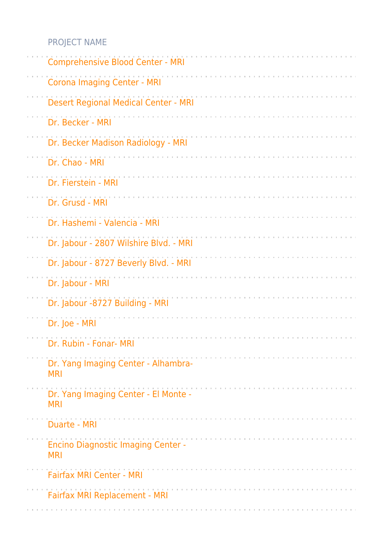| <b>Comprehensive Blood Center - MRI</b>                 |
|---------------------------------------------------------|
| <b>Corona Imaging Center - MRI</b>                      |
| Desert Regional Medical Center - MRI                    |
| Dr. Becker - MRI                                        |
| Dr. Becker Madison Radiology - MRI                      |
| Dr. Chao - MRI                                          |
| Dr. Fierstein - MRI                                     |
| Dr. Grusd - MRI                                         |
| Dr. Hashemi - Valencia - MRI                            |
| Dr. Jabour - 2807 Wilshire Blvd. - MRI                  |
| Dr. Jabour - 8727 Beverly Blvd. - MRI                   |
| Dr. Jabour - MRI                                        |
| Dr. Jabour -8727 Building - MRI                         |
| Dr. Joe - MRI                                           |
| Dr. Rubin - Fonar- MRI                                  |
| Dr. Yang Imaging Center - Alhambra-<br><b>MRI</b>       |
| Dr. Yang Imaging Center - El Monte -<br><b>MRI</b>      |
| <b>Duarte - MRI</b>                                     |
| <b>Encino Diagnostic Imaging Center -</b><br><b>MRI</b> |
| <b>Fairfax MRI Center - MRI</b>                         |
| Fairfax MRI Replacement - MRI                           |
|                                                         |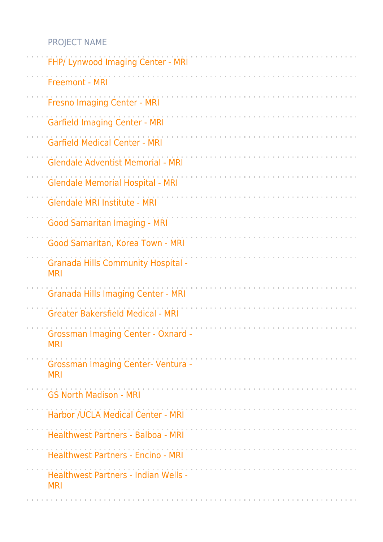| FHP/ Lynwood Imaging Center - MRI                                                                                |
|------------------------------------------------------------------------------------------------------------------|
| <b>Freemont - MRI</b>                                                                                            |
| <b>Fresno Imaging Center - MRI</b>                                                                               |
| <b>Garfield Imaging Center - MRI</b>                                                                             |
| <b>Garfield Medical Center - MRI</b>                                                                             |
| <b>Glendale Adventist Memorial - MRI</b>                                                                         |
| <b>Glendale Memorial Hospital - MRI</b>                                                                          |
| Glendale MRI Institute - MRI                                                                                     |
| <b>Good Samaritan Imaging - MRI</b>                                                                              |
| Good Samaritan, Korea Town - MRI                                                                                 |
| <b>Granada Hills Community Hospital -</b><br><b>MRI</b>                                                          |
| <b>Granada Hills Imaging Center - MRI</b>                                                                        |
| <b>Greater Bakersfield Medical - MRI</b>                                                                         |
| <b>Grossman Imaging Center - Oxnard -</b><br><b>MRI</b>                                                          |
| <b>Grossman Imaging Center- Ventura -</b><br><b>MRI</b>                                                          |
| <b>GS North Madison - MRI</b>                                                                                    |
| Harbor /UCLA Medical Center - MRI                                                                                |
| Healthwest Partners - Balboa - MRI                                                                               |
| <b>Healthwest Partners - Encino - MRI</b>                                                                        |
| Healthwest Partners - Indian Wells -<br><b>MRI</b>                                                               |
| a de caractería de caractería de caractería de caractería de caractería de caractería de caractería de caracterí |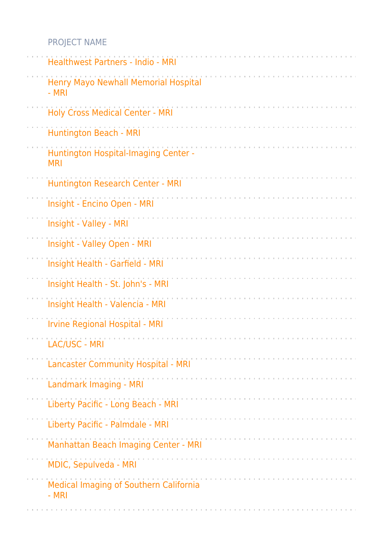| <b>Healthwest Partners - Indio - MRI</b>                  |  |
|-----------------------------------------------------------|--|
| Henry Mayo Newhall Memorial Hospital<br>- MRI             |  |
| <b>Holy Cross Medical Center - MRI</b>                    |  |
| Huntington Beach - MRI                                    |  |
| <b>Huntington Hospital-Imaging Center -</b><br><b>MRI</b> |  |
| Huntington Research Center - MRI                          |  |
| Insight - Encino Open - MRI                               |  |
| Insight - Valley - MRI                                    |  |
| Insight - Valley Open - MRI                               |  |
| Insight Health - Garfield - MRI                           |  |
| Insight Health - St. John's - MRI                         |  |
| Insight Health - Valencia - MRI                           |  |
| <b>Irvine Regional Hospital - MRI</b>                     |  |
| LAC/USC - MRI                                             |  |
| <b>Lancaster Community Hospital - MRI</b>                 |  |
| Landmark Imaging - MRI                                    |  |
| Liberty Pacific - Long Beach - MRI                        |  |
| Liberty Pacific - Palmdale - MRI                          |  |
| Manhattan Beach Imaging Center - MRI                      |  |
| MDIC, Sepulveda - MRI                                     |  |
| Medical Imaging of Southern California<br>- MRI           |  |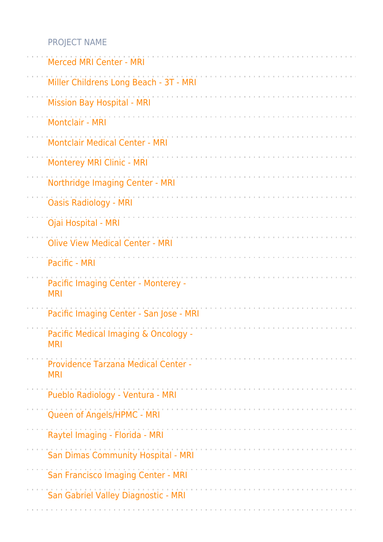| <b>Merced MRI Center - MRI</b>                     |
|----------------------------------------------------|
| Miller Childrens Long Beach - 3T - MRI             |
| <b>Mission Bay Hospital - MRI</b>                  |
| Montclair - MRI                                    |
| <b>Montclair Medical Center - MRI</b>              |
| <b>Monterey MRI Clinic - MRI</b>                   |
| Northridge Imaging Center - MRI                    |
| <b>Oasis Radiology - MRI</b>                       |
| Ojai Hospital - MRI                                |
| <b>Olive View Medical Center - MRI</b>             |
| Pacific - MRI                                      |
| Pacific Imaging Center - Monterey -<br><b>MRI</b>  |
| Pacific Imaging Center - San Jose - MRI            |
| Pacific Medical Imaging & Oncology -<br><b>MRI</b> |
| Providence Tarzana Medical Center -<br><b>MRI</b>  |
| Pueblo Radiology - Ventura - MRI                   |
| Queen of Angels/HPMC - MRI                         |
| Raytel Imaging - Florida - MRI                     |
| San Dimas Community Hospital - MRI                 |
| San Francisco Imaging Center - MRI                 |
| San Gabriel Valley Diagnostic - MRI                |
|                                                    |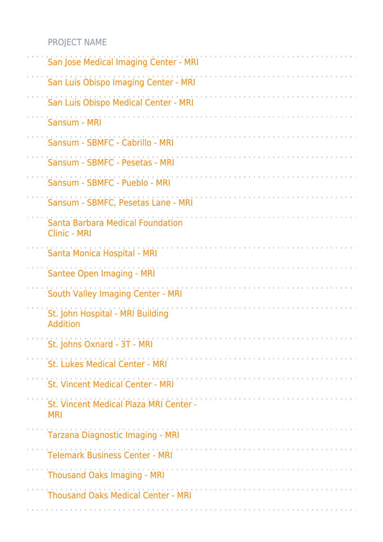| San Jose Medical Imaging Center - MRI                          |
|----------------------------------------------------------------|
| San Luis Obispo Imaging Center - MRI                           |
| San Luis Obispo Medical Center - MRI                           |
| Sansum - MRI                                                   |
| Sansum - SBMFC - Cabrillo - MRI                                |
| Sansum - SBMFC - Pesetas - MRI                                 |
| Sansum - SBMFC - Pueblo - MRI                                  |
| Sansum - SBMFC, Pesetas Lane - MRI                             |
| <b>Santa Barbara Medical Foundation</b><br><b>Clinic - MRI</b> |
| Santa Monica Hospital - MRI                                    |
| Santee Open Imaging - MRI                                      |
| South Valley Imaging Center - MRI                              |
| St. John Hospital - MRI Building<br>Addition                   |
| St. Johns Oxnard - 3T - MRI                                    |
| St. Lukes Medical Center - MRI                                 |
| <b>St. Vincent Medical Center - MRI</b>                        |
| St. Vincent Medical Plaza MRI Center -<br><b>MRI</b>           |
| Tarzana Diagnostic Imaging - MRI                               |
| <b>Telemark Business Center - MRI</b>                          |
| <b>Thousand Oaks Imaging - MRI</b>                             |
| <b>Thousand Oaks Medical Center - MRI</b>                      |
|                                                                |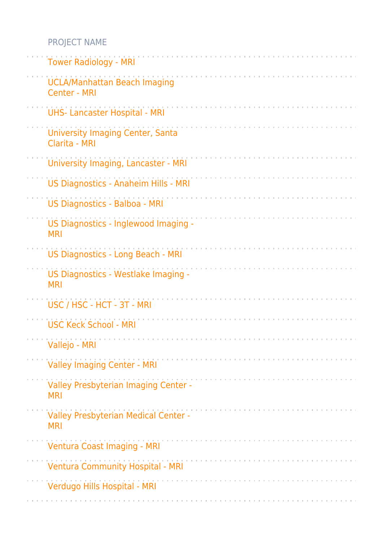| <b>Tower Radiology - MRI</b>                               |
|------------------------------------------------------------|
| <b>UCLA/Manhattan Beach Imaging</b><br><b>Center - MRI</b> |
| <b>UHS- Lancaster Hospital - MRI</b>                       |
| <b>University Imaging Center, Santa</b><br>Clarita - MRI   |
| University Imaging, Lancaster - MRI                        |
| US Diagnostics - Anaheim Hills - MRI                       |
| US Diagnostics - Balboa - MRI                              |
| US Diagnostics - Inglewood Imaging -<br><b>MRI</b>         |
| US Diagnostics - Long Beach - MRI                          |
| US Diagnostics - Westlake Imaging -<br><b>MRI</b>          |
| USC / HSC - HCT - 3T - MRI                                 |
| <b>USC Keck School - MRI</b>                               |
| Vallejo - MRI                                              |
| <b>Valley Imaging Center - MRI</b>                         |
| Valley Presbyterian Imaging Center -<br><b>MRI</b>         |
| Valley Presbyterian Medical Center -<br><b>MRI</b>         |
| <b>Ventura Coast Imaging - MRI</b>                         |
| <b>Ventura Community Hospital - MRI</b>                    |
| Verdugo Hills Hospital - MRI                               |